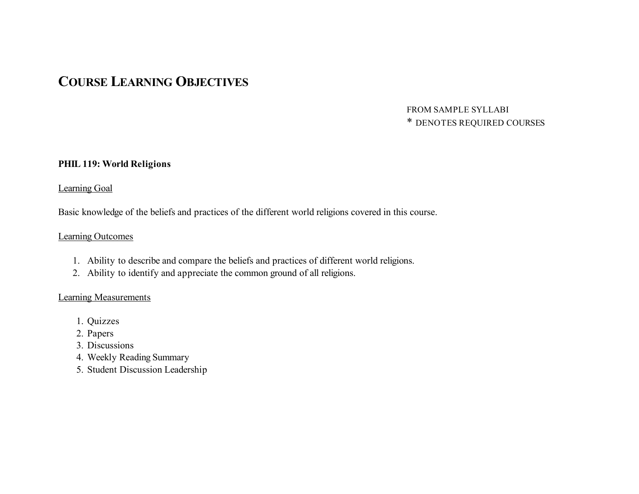# **COURSE LEARNING OBJECTIVES**

## FROM SAMPLE SYLLABI \* DENOTES REQUIRED COURSES

#### **PHIL 119: World Religions**

#### Learning Goal

Basic knowledge of the beliefs and practices of the different world religions covered in this course.

#### Learning Outcomes

- 1. Ability to describe and compare the beliefs and practices of different world religions.
- 2. Ability to identify and appreciate the common ground of all religions.

- 1. Quizzes
- 2. Papers
- 3. Discussions
- 4. Weekly Reading Summary
- 5. Student Discussion Leadership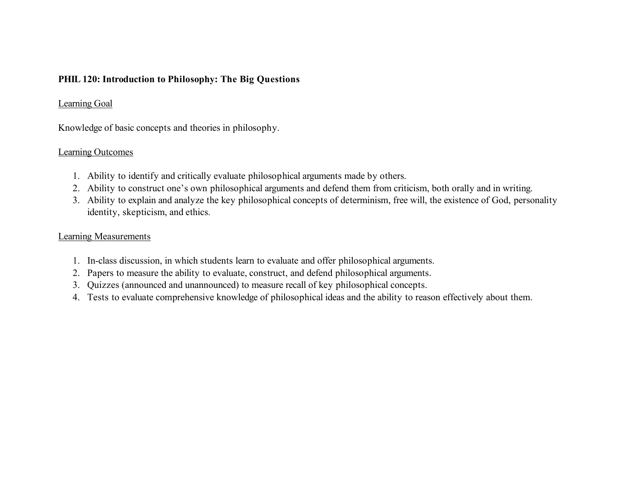## **PHIL 120: Introduction to Philosophy: The Big Questions**

## Learning Goal

Knowledge of basic concepts and theories in philosophy.

## Learning Outcomes

- 1. Ability to identify and critically evaluate philosophical arguments made by others.
- 2. Ability to construct one's own philosophical arguments and defend them from criticism, both orally and in writing.
- 3. Ability to explain and analyze the key philosophical concepts of determinism, free will, the existence of God, personality identity, skepticism, and ethics.

- 1. In-class discussion, in which students learn to evaluate and offer philosophical arguments.
- 2. Papers to measure the ability to evaluate, construct, and defend philosophical arguments.
- 3. Quizzes (announced and unannounced) to measure recall of key philosophical concepts.
- 4. Tests to evaluate comprehensive knowledge of philosophical ideas and the ability to reason effectively about them.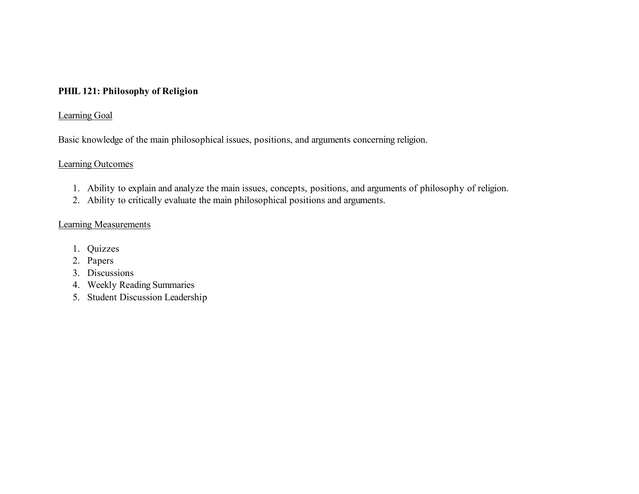## **PHIL 121: Philosophy of Religion**

#### Learning Goal

Basic knowledge of the main philosophical issues, positions, and arguments concerning religion.

#### Learning Outcomes

- 1. Ability to explain and analyze the main issues, concepts, positions, and arguments of philosophy of religion.
- 2. Ability to critically evaluate the main philosophical positions and arguments.

- 1. Quizzes
- 2. Papers
- 3. Discussions
- 4. Weekly Reading Summaries
- 5. Student Discussion Leadership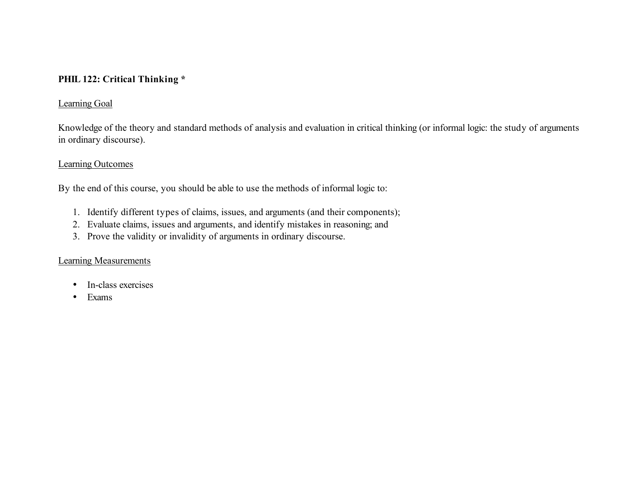## **PHIL 122: Critical Thinking \***

#### Learning Goal

 Knowledge of the theory and standard methods of analysis and evaluation in critical thinking (or informal logic: the study of arguments in ordinary discourse).

#### Learning Outcomes

By the end of this course, you should be able to use the methods of informal logic to:

- 1. Identify different types of claims, issues, and arguments (and their components);
- 2. Evaluate claims, issues and arguments, and identify mistakes in reasoning; and
- 3. Prove the validity or invalidity of arguments in ordinary discourse.

- In-class exercises
- Exams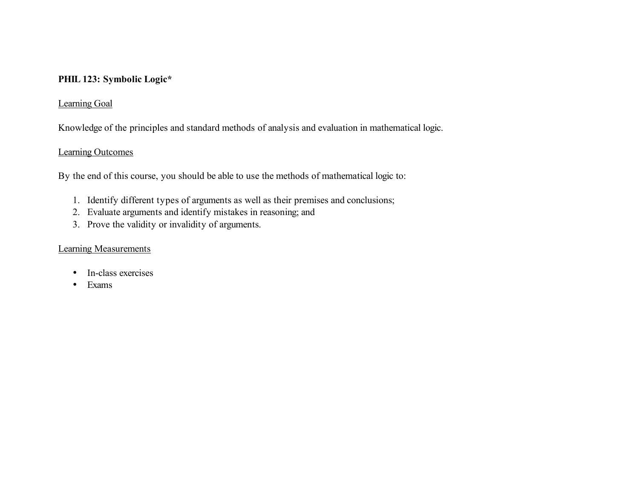## **PHIL 123: Symbolic Logic\***

## Learning Goal

Knowledge of the principles and standard methods of analysis and evaluation in mathematical logic.

## Learning Outcomes

By the end of this course, you should be able to use the methods of mathematical logic to:

- 1. Identify different types of arguments as well as their premises and conclusions;
- 2. Evaluate arguments and identify mistakes in reasoning; and
- 3. Prove the validity or invalidity of arguments.

- In-class exercises
- Exams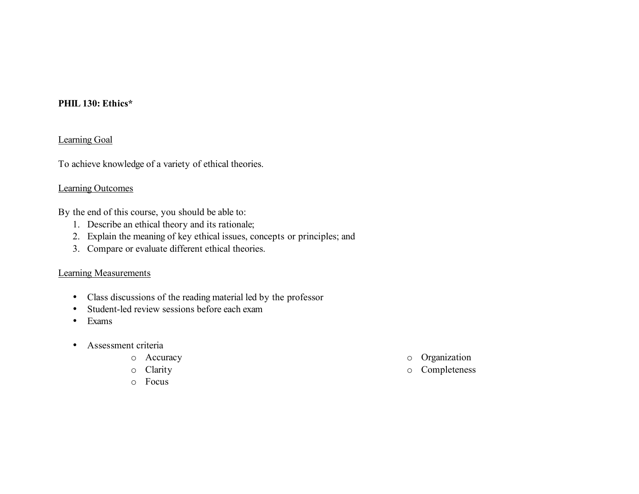## **PHIL 130: Ethics\***

#### Learning Goal

To achieve knowledge of a variety of ethical theories.

#### Learning Outcomes

By the end of this course, you should be able to:

- 1. Describe an ethical theory and its rationale;
- 2. Explain the meaning of key ethical issues, concepts or principles; and
- 3. Compare or evaluate different ethical theories.

- Class discussions of the reading material led by the professor
- Student-led review sessions before each exam
- Exams
- Assessment criteria
	-
	-
	- o Focus
	- o Accuracy o Organization
	- o Clarity o Completeness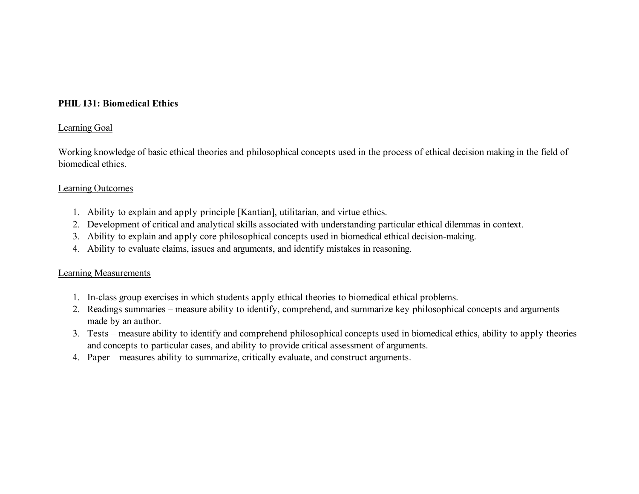## **PHIL 131: Biomedical Ethics**

#### Learning Goal

 Working knowledge of basic ethical theories and philosophical concepts used in the process of ethical decision making in the field of biomedical ethics.

#### Learning Outcomes

- 1. Ability to explain and apply principle [Kantian], utilitarian, and virtue ethics.
- 2. Development of critical and analytical skills associated with understanding particular ethical dilemmas in context.
- 3. Ability to explain and apply core philosophical concepts used in biomedical ethical decision-making.
- 4. Ability to evaluate claims, issues and arguments, and identify mistakes in reasoning.

- 1. In-class group exercises in which students apply ethical theories to biomedical ethical problems.
- 2. Readings summaries measure ability to identify, comprehend, and summarize key philosophical concepts and arguments made by an author.
- 3. Tests measure ability to identify and comprehend philosophical concepts used in biomedical ethics, ability to apply theories and concepts to particular cases, and ability to provide critical assessment of arguments.
- 4. Paper measures ability to summarize, critically evaluate, and construct arguments.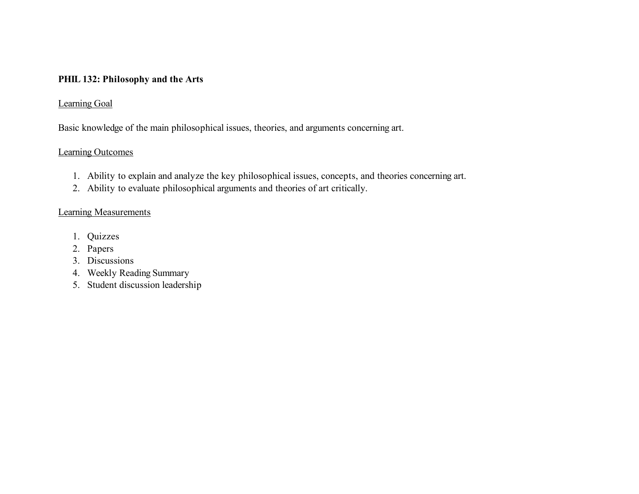## **PHIL 132: Philosophy and the Arts**

## Learning Goal

Basic knowledge of the main philosophical issues, theories, and arguments concerning art.

## Learning Outcomes

- 1. Ability to explain and analyze the key philosophical issues, concepts, and theories concerning art.
- 2. Ability to evaluate philosophical arguments and theories of art critically.

- 1. Quizzes
- 2. Papers
- 3. Discussions
- 4. Weekly Reading Summary
- 5. Student discussion leadership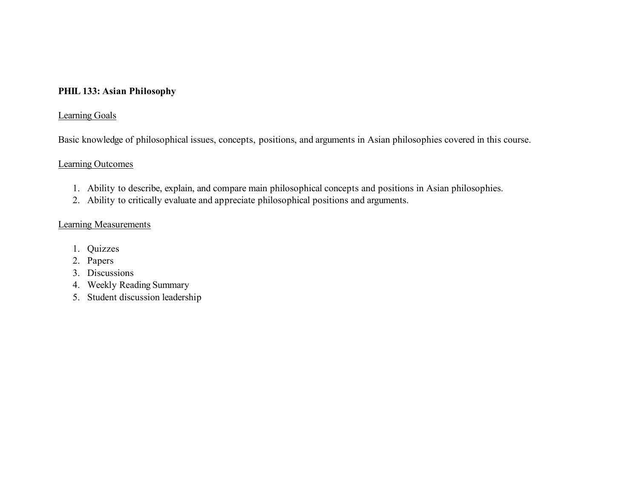## **PHIL 133: Asian Philosophy**

## Learning Goals

Basic knowledge of philosophical issues, concepts, positions, and arguments in Asian philosophies covered in this course.

#### Learning Outcomes

- 1. Ability to describe, explain, and compare main philosophical concepts and positions in Asian philosophies.
- 2. Ability to critically evaluate and appreciate philosophical positions and arguments.

- 1. Quizzes
- 2. Papers
- 3. Discussions
- 4. Weekly Reading Summary
- 5. Student discussion leadership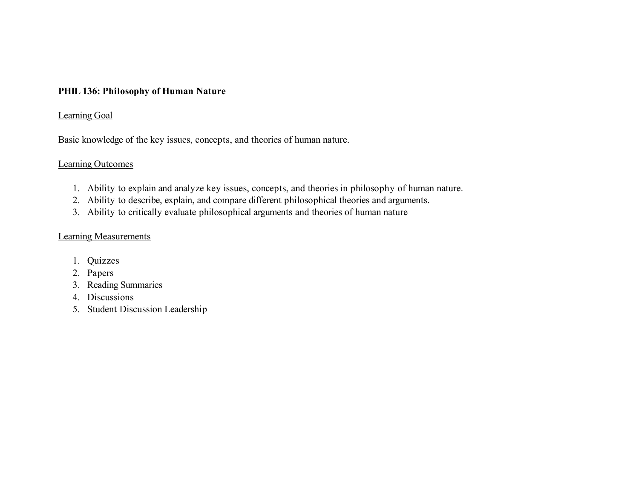#### **PHIL 136: Philosophy of Human Nature**

#### Learning Goal

Basic knowledge of the key issues, concepts, and theories of human nature.

#### Learning Outcomes

- 1. Ability to explain and analyze key issues, concepts, and theories in philosophy of human nature.
- 2. Ability to describe, explain, and compare different philosophical theories and arguments.
- 3. Ability to critically evaluate philosophical arguments and theories of human nature

- 1. Quizzes
- 2. Papers
- 3. Reading Summaries
- 4. Discussions
- 5. Student Discussion Leadership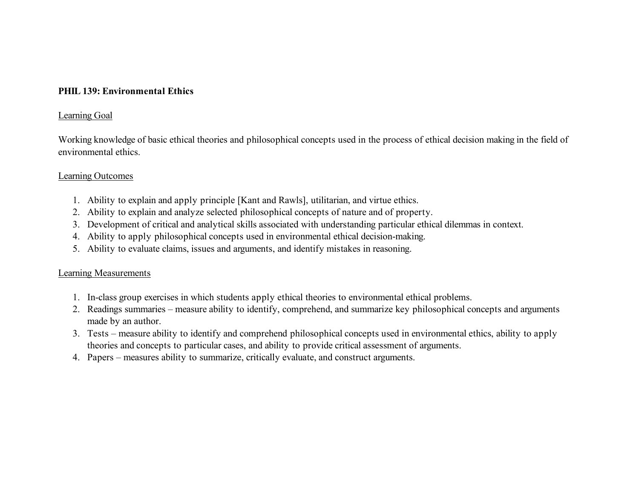#### **PHIL 139: Environmental Ethics**

#### Learning Goal

 Working knowledge of basic ethical theories and philosophical concepts used in the process of ethical decision making in the field of environmental ethics.

#### Learning Outcomes

- 1. Ability to explain and apply principle [Kant and Rawls], utilitarian, and virtue ethics.
- 2. Ability to explain and analyze selected philosophical concepts of nature and of property.
- 3. Development of critical and analytical skills associated with understanding particular ethical dilemmas in context.
- 4. Ability to apply philosophical concepts used in environmental ethical decision-making.
- 5. Ability to evaluate claims, issues and arguments, and identify mistakes in reasoning.

- 1. In-class group exercises in which students apply ethical theories to environmental ethical problems.
- 2. Readings summaries measure ability to identify, comprehend, and summarize key philosophical concepts and arguments made by an author.
- 3. Tests measure ability to identify and comprehend philosophical concepts used in environmental ethics, ability to apply theories and concepts to particular cases, and ability to provide critical assessment of arguments.
- 4. Papers measures ability to summarize, critically evaluate, and construct arguments.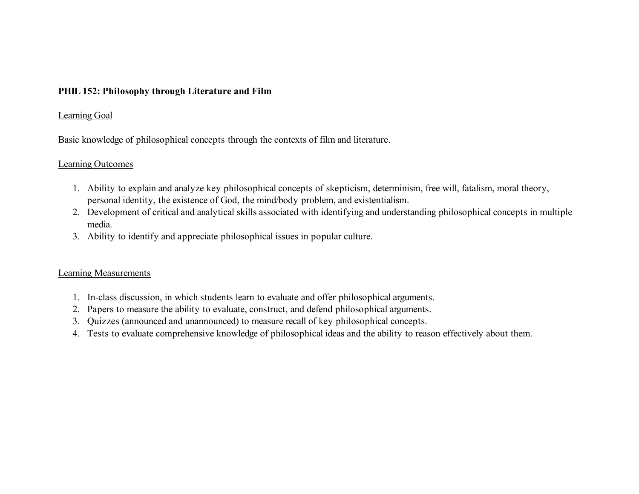#### **PHIL 152: Philosophy through Literature and Film**

#### Learning Goal

Basic knowledge of philosophical concepts through the contexts of film and literature.

#### Learning Outcomes

- 1. Ability to explain and analyze key philosophical concepts of skepticism, determinism, free will, fatalism, moral theory, personal identity, the existence of God, the mind/body problem, and existentialism.
- 2. Development of critical and analytical skills associated with identifying and understanding philosophical concepts in multiple media.
- 3. Ability to identify and appreciate philosophical issues in popular culture.

- 1. In-class discussion, in which students learn to evaluate and offer philosophical arguments.
- 2. Papers to measure the ability to evaluate, construct, and defend philosophical arguments.
- 3. Quizzes (announced and unannounced) to measure recall of key philosophical concepts.
- 4. Tests to evaluate comprehensive knowledge of philosophical ideas and the ability to reason effectively about them.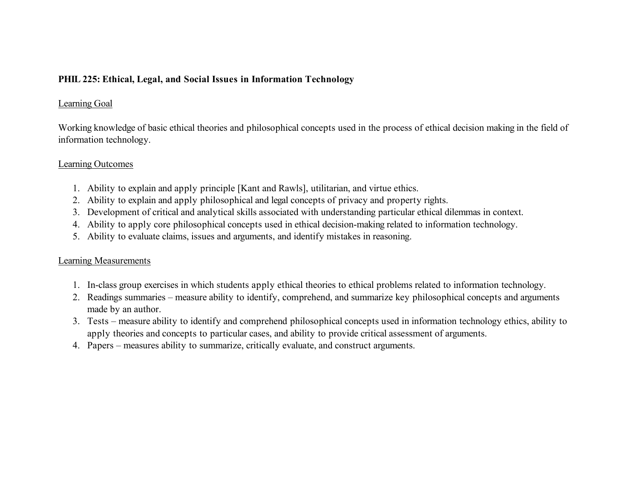## **PHIL 225: Ethical, Legal, and Social Issues in Information Technology**

## Learning Goal

 Working knowledge of basic ethical theories and philosophical concepts used in the process of ethical decision making in the field of information technology.<br>Learning Outcomes

- 1. Ability to explain and apply principle [Kant and Rawls], utilitarian, and virtue ethics.
- 2. Ability to explain and apply philosophical and legal concepts of privacy and property rights.
- 3. Development of critical and analytical skills associated with understanding particular ethical dilemmas in context.
- 4. Ability to apply core philosophical concepts used in ethical decision-making related to information technology.
- 5. Ability to evaluate claims, issues and arguments, and identify mistakes in reasoning.

- 1. In-class group exercises in which students apply ethical theories to ethical problems related to information technology.
- 2. Readings summaries measure ability to identify, comprehend, and summarize key philosophical concepts and arguments made by an author.
- 3. Tests measure ability to identify and comprehend philosophical concepts used in information technology ethics, ability to apply theories and concepts to particular cases, and ability to provide critical assessment of arguments.
- 4. Papers measures ability to summarize, critically evaluate, and construct arguments.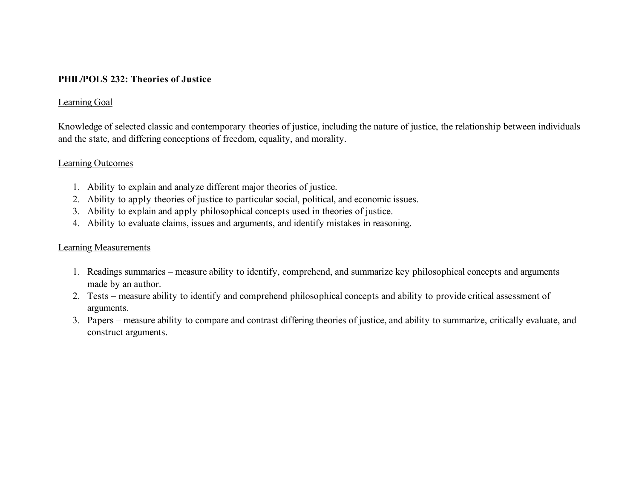## **PHIL/POLS 232: Theories of Justice**

#### Learning Goal

 Knowledge of selected classic and contemporary theories of justice, including the nature of justice, the relationship between individuals and the state, and differing conceptions of freedom, equality, and morality.

#### Learning Outcomes

- 1. Ability to explain and analyze different major theories of justice.
- 2. Ability to apply theories of justice to particular social, political, and economic issues.
- 3. Ability to explain and apply philosophical concepts used in theories of justice.
- 4. Ability to evaluate claims, issues and arguments, and identify mistakes in reasoning.

- 1. Readings summaries measure ability to identify, comprehend, and summarize key philosophical concepts and arguments made by an author.
- 2. Tests measure ability to identify and comprehend philosophical concepts and ability to provide critical assessment of arguments.
- 3. Papers measure ability to compare and contrast differing theories of justice, and ability to summarize, critically evaluate, and construct arguments.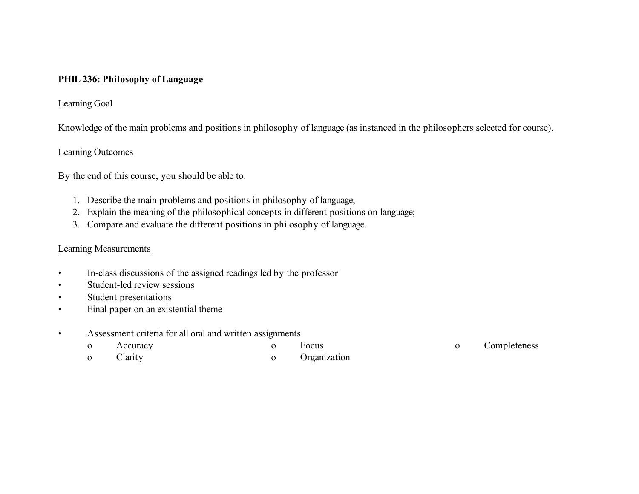## **PHIL 236: Philosophy of Language**

#### Learning Goal

Knowledge of the main problems and positions in philosophy of language (as instanced in the philosophers selected for course).

#### Learning Outcomes

By the end of this course, you should be able to:

- 1. Describe the main problems and positions in philosophy of language;
- 2. Explain the meaning of the philosophical concepts in different positions on language;
- 3. Compare and evaluate the different positions in philosophy of language.

- In-class discussions of the assigned readings led by the professor
- Student-led review sessions
- Student presentations
- Final paper on an existential theme
- Assessment criteria for all oral and written assignments

| $\mathbf{O}$ | Accuracy | Focus          | Completeness |
|--------------|----------|----------------|--------------|
| $\mathbf{O}$ | Clarity  | o Organization |              |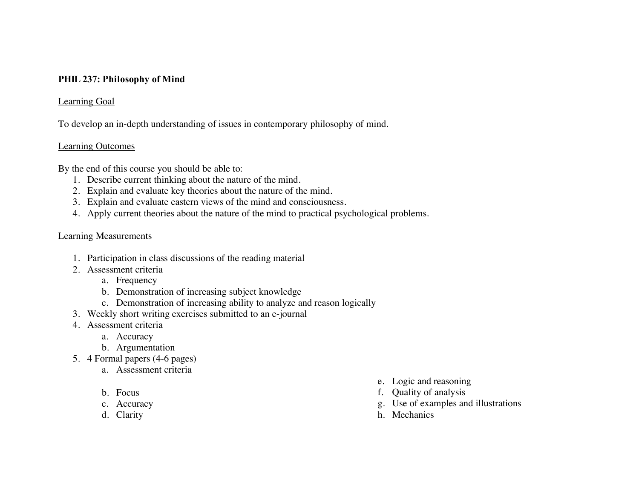## **PHIL 237: Philosophy of Mind**

## Learning Goal

To develop an in-depth understanding of issues in contemporary philosophy of mind.

#### Learning Outcomes

By the end of this course you should be able to:

- 1. Describe current thinking about the nature of the mind.
- 2. Explain and evaluate key theories about the nature of the mind.
- 3. Explain and evaluate eastern views of the mind and consciousness.
- 4. Apply current theories about the nature of the mind to practical psychological problems.

- 1. Participation in class discussions of the reading material
- 2. Assessment criteria
	- a. Frequency
	- b. Demonstration of increasing subject knowledge
	- c. Demonstration of increasing ability to analyze and reason logically
- 3. Weekly short writing exercises submitted to an e-journal
- 4. Assessment criteria
	- a. Accuracy
	- b. Argumentation
- 5. 4 Formal papers (4-6 pages)
	- a. Assessment criteria
	-
	-
	-
- e. Logic and reasoning
- b. Focus f. Quality of analysis
- c. Accuracy g. Use of examples and illustrations
- d. Clarity h. Mechanics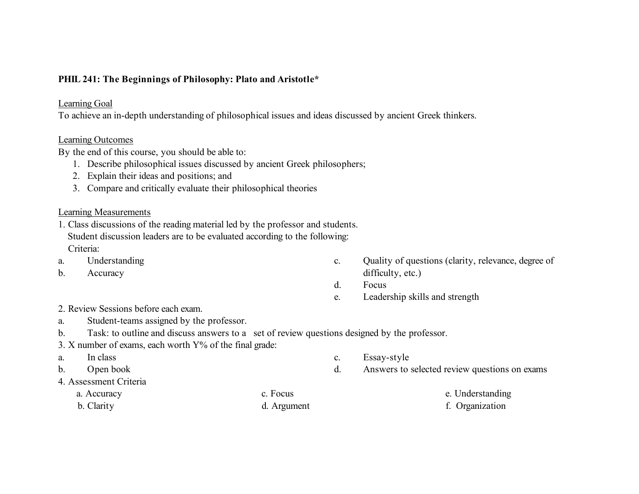## **PHIL 241: The Beginnings of Philosophy: Plato and Aristotle\***

#### Learning Goal

To achieve an in-depth understanding of philosophical issues and ideas discussed by ancient Greek thinkers.

#### Learning Outcomes

By the end of this course, you should be able to:

- 1. Describe philosophical issues discussed by ancient Greek philosophers;
- 2. Explain their ideas and positions; and
- 3. Compare and critically evaluate their philosophical theories

- 1. Class discussions of the reading material led by the professor and students. Student discussion leaders are to be evaluated according to the following: Criteria:
- 
- 
- a. Understanding examples a canonical control of questions (clarity, relevance, degree of  $\alpha$ b. Accuracy difficulty, etc.)
	- d. Focus
	- e. Leadership skills and strength

- 2. Review Sessions before each exam.
- a. Student-teams assigned by the professor.
- b. Task: to outline and discuss answers to a set of review questions designed by the professor.
- 3. X number of exams, each worth Y% of the final grade:
- 
- 
- 4. Assessment Criteria
	- a. Accuracy c. Focus e. Understanding b. Clarity d. Argument f. Organization
- a. In class c. Essay-style
- b. Open book d. Answers to selected review questions on exams
	-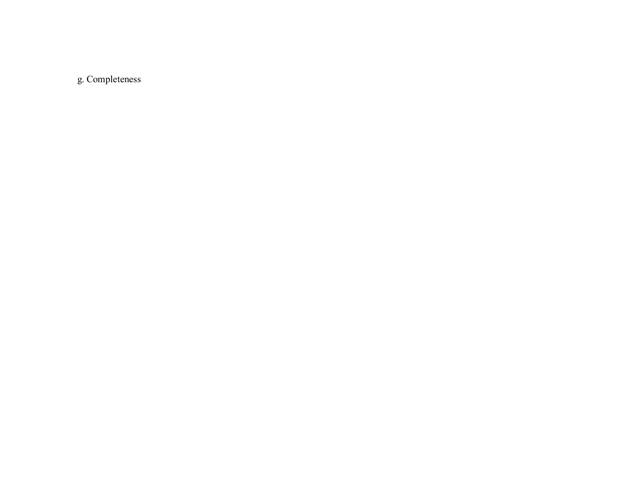g.Completeness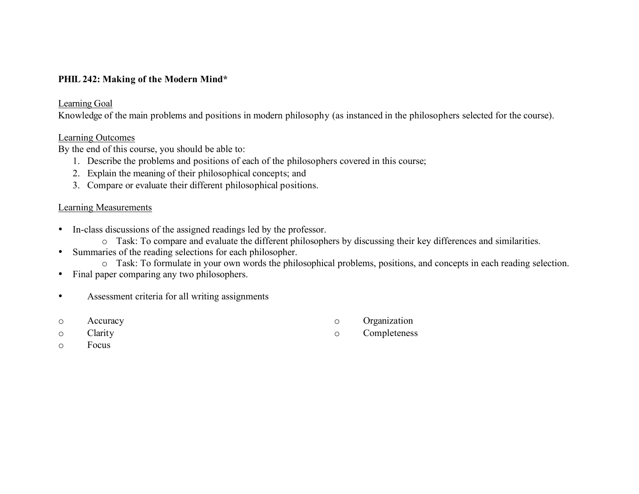## **PHIL 242: Making of the Modern Mind\***

#### Learning Goal

Knowledge of the main problems and positions in modern philosophy (as instanced in the philosophers selected for the course).

#### Learning Outcomes

By the end of this course, you should be able to:

- 1. Describe the problems and positions of each of the philosophers covered in this course;
- 2. Explain the meaning of their philosophical concepts; and
- 3. Compare or evaluate their different philosophical positions.

#### Learning Measurements

- • In-class discussions of the assigned readings led by the professor.
	- o Task: To compare and evaluate the different philosophers by discussing their key differences and similarities.
- • Summaries of the reading selections for each philosopher.
	- o Task: To formulate in your own words the philosophical problems, positions, and concepts in each reading selection.
- Final paper comparing any two philosophers.
- Assessment criteria for all writing assignments
- o Accuracy o Organization
- o Clarity o Completeness
- 

o Focus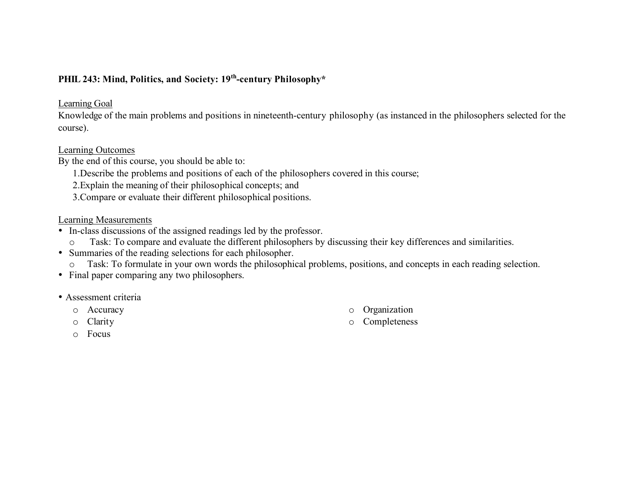## **PHIL 243: Mind, Politics, and Society: 19th-century Philosophy\***

#### Learning Goal

 Knowledge of the main problems and positions in nineteenth-century philosophy (as instanced in the philosophers selected for the course).

#### Learning Outcomes

By the end of this course, you should be able to:

- 1.Describe the problems and positions of each of the philosophers covered in this course;
- 2.Explain the meaning of their philosophical concepts; and
- 3.Compare or evaluate their different philosophical positions.

- • In-class discussions of the assigned readings led by the professor.
	- o Task: To compare and evaluate the different philosophers by discussing their key differences and similarities.
- • Summaries of the reading selections for each philosopher.
	- o Task: To formulate in your own words the philosophical problems, positions, and concepts in each reading selection.
- Final paper comparing any two philosophers.
- Assessment criteria
	-
	-
	- o Focus
	- o Accuracy o Organization
	- o Clarity o Completeness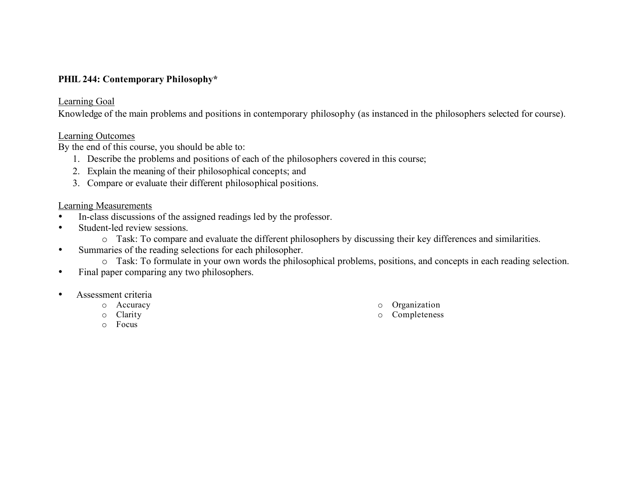## **PHIL 244: Contemporary Philosophy\***

#### Learning Goal

Knowledge of the main problems and positions in contemporary philosophy (as instanced in the philosophers selected for course).

#### Learning Outcomes

By the end of this course, you should be able to:

- 1. Describe the problems and positions of each of the philosophers covered in this course;
- 2. Explain the meaning of their philosophical concepts; and
- 3. Compare or evaluate their different philosophical positions.

- In-class discussions of the assigned readings led by the professor.
- Student-led review sessions.
	- o Task: To compare and evaluate the different philosophers by discussing their key differences and similarities.
- • Summaries of the reading selections for each philosopher.
	- o Task: To formulate in your own words the philosophical problems, positions, and concepts in each reading selection.
- Final paper comparing any two philosophers.
- Assessment criteria
	-
	-
	- o Focus
	- o Accuracy o Organization
	- o Clarity **o Completeness o Completeness**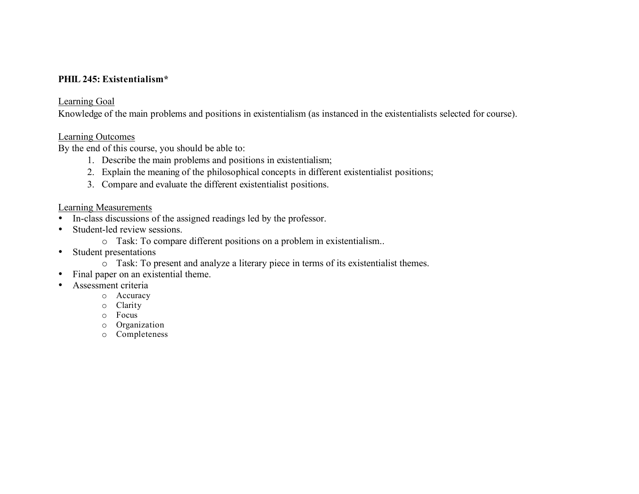#### **PHIL 245: Existentialism\***

#### Learning Goal

Knowledge of the main problems and positions in existentialism (as instanced in the existentialists selected for course).

#### Learning Outcomes

By the end of this course, you should be able to:

- 1. Describe the main problems and positions in existentialism;
- 2. Explain the meaning of the philosophical concepts in different existentialist positions;
- 3. Compare and evaluate the different existentialist positions.

- In-class discussions of the assigned readings led by the professor.
- • Student-led review sessions.
	- o Task: To compare different positions on a problem in existentialism..
- Student presentations
	- o Task: To present and analyze a literary piece in terms of its existentialist themes.
- Final paper on an existential theme.
- Assessment criteria
	- o Accuracy
	- o Clarity
	- o Focus
	- o Organization
	- o Completeness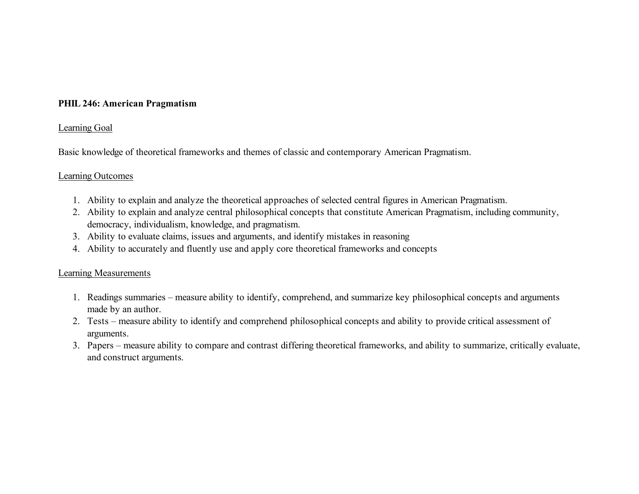## **PHIL 246: American Pragmatism**

#### Learning Goal

Basic knowledge of theoretical frameworks and themes of classic and contemporary American Pragmatism.

#### Learning Outcomes

- 1. Ability to explain and analyze the theoretical approaches of selected central figures in American Pragmatism.
- 2. Ability to explain and analyze central philosophical concepts that constitute American Pragmatism, including community, democracy, individualism, knowledge, and pragmatism.
- 3. Ability to evaluate claims, issues and arguments, and identify mistakes in reasoning
- 4. Ability to accurately and fluently use and apply core theoretical frameworks and concepts

- 1. Readings summaries measure ability to identify, comprehend, and summarize key philosophical concepts and arguments made by an author.
- 2. Tests measure ability to identify and comprehend philosophical concepts and ability to provide critical assessment of arguments.
- 3. Papers measure ability to compare and contrast differing theoretical frameworks, and ability to summarize, critically evaluate, and construct arguments.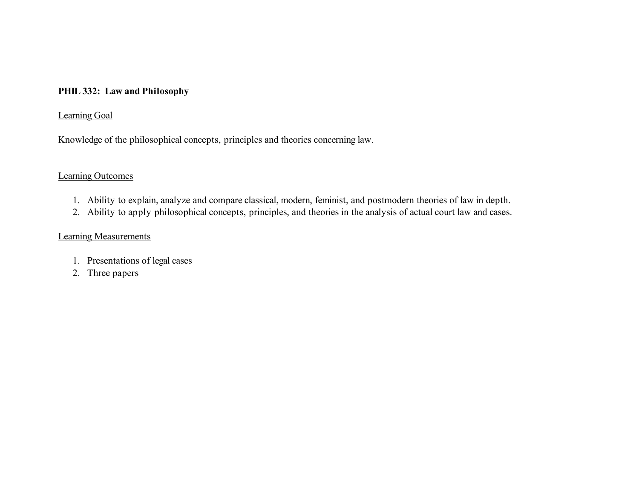#### **PHIL 332: Law and Philosophy**

## Learning Goal

Knowledge of the philosophical concepts, principles and theories concerning law.

## Learning Outcomes

- 1. Ability to explain, analyze and compare classical, modern, feminist, and postmodern theories of law in depth.
- 2. Ability to apply philosophical concepts, principles, and theories in the analysis of actual court law and cases.

- 1. Presentations of legal cases
- 2. Three papers